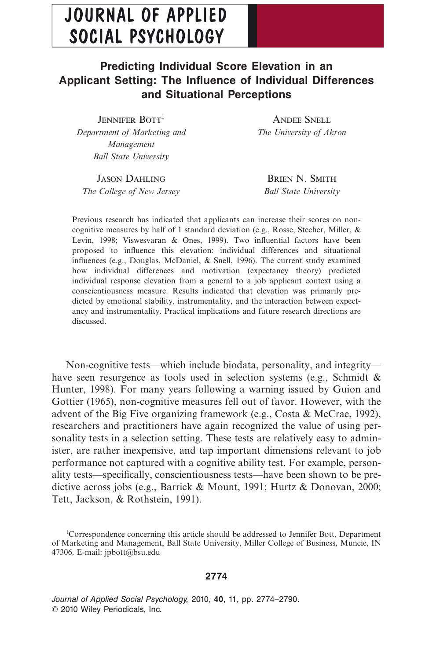# **JOURNAL OF APPLIED** SOCIAL PSYCHOLOGY

# **Predicting Individual Score Elevation in an Applicant Setting: The Influence of Individual Differences and Situational Perceptions**

JENNIFER BOTT<sup>1</sup> *Department of Marketing and Management Ball State University*

Andee Snell *The University of Akron*

JASON DAHLING *The College of New Jersey*

Brien N. Smith *Ball State University*

Previous research has indicated that applicants can increase their scores on noncognitive measures by half of 1 standard deviation (e.g., Rosse, Stecher, Miller, & Levin, 1998; Viswesvaran & Ones, 1999). Two influential factors have been proposed to influence this elevation: individual differences and situational influences (e.g., Douglas, McDaniel, & Snell, 1996). The current study examined how individual differences and motivation (expectancy theory) predicted individual response elevation from a general to a job applicant context using a conscientiousness measure. Results indicated that elevation was primarily predicted by emotional stability, instrumentality, and the interaction between expectancy and instrumentality. Practical implications and future research directions are discussed.

Non-cognitive tests—which include biodata, personality, and integrity have seen resurgence as tools used in selection systems (e.g., Schmidt & Hunter, 1998). For many years following a warning issued by Guion and Gottier (1965), non-cognitive measures fell out of favor. However, with the advent of the Big Five organizing framework (e.g., Costa & McCrae, 1992), researchers and practitioners have again recognized the value of using personality tests in a selection setting. These tests are relatively easy to administer, are rather inexpensive, and tap important dimensions relevant to job performance not captured with a cognitive ability test. For example, personality tests—specifically, conscientiousness tests—have been shown to be predictive across jobs (e.g., Barrick & Mount, 1991; Hurtz & Donovan, 2000; Tett, Jackson, & Rothstein, 1991).

#### **2774**

*Journal of Applied Social Psychology,* 2010, **40**, 11, pp. 2774–2790. © 2010 Wiley Periodicals, Inc.

<sup>&</sup>lt;sup>1</sup>Correspondence concerning this article should be addressed to Jennifer Bott, Department of Marketing and Management, Ball State University, Miller College of Business, Muncie, IN 47306. E-mail: jpbott@bsu.edu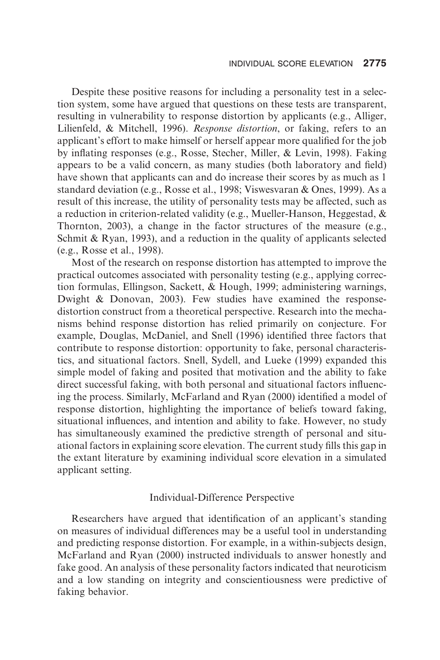Despite these positive reasons for including a personality test in a selection system, some have argued that questions on these tests are transparent, resulting in vulnerability to response distortion by applicants (e.g., Alliger, Lilienfeld, & Mitchell, 1996). *Response distortion*, or faking, refers to an applicant's effort to make himself or herself appear more qualified for the job by inflating responses (e.g., Rosse, Stecher, Miller, & Levin, 1998). Faking appears to be a valid concern, as many studies (both laboratory and field) have shown that applicants can and do increase their scores by as much as 1 standard deviation (e.g., Rosse et al., 1998; Viswesvaran & Ones, 1999). As a result of this increase, the utility of personality tests may be affected, such as a reduction in criterion-related validity (e.g., Mueller-Hanson, Heggestad, & Thornton, 2003), a change in the factor structures of the measure (e.g., Schmit & Ryan, 1993), and a reduction in the quality of applicants selected (e.g., Rosse et al., 1998).

Most of the research on response distortion has attempted to improve the practical outcomes associated with personality testing (e.g., applying correction formulas, Ellingson, Sackett, & Hough, 1999; administering warnings, Dwight & Donovan, 2003). Few studies have examined the responsedistortion construct from a theoretical perspective. Research into the mechanisms behind response distortion has relied primarily on conjecture. For example, Douglas, McDaniel, and Snell (1996) identified three factors that contribute to response distortion: opportunity to fake, personal characteristics, and situational factors. Snell, Sydell, and Lueke (1999) expanded this simple model of faking and posited that motivation and the ability to fake direct successful faking, with both personal and situational factors influencing the process. Similarly, McFarland and Ryan (2000) identified a model of response distortion, highlighting the importance of beliefs toward faking, situational influences, and intention and ability to fake. However, no study has simultaneously examined the predictive strength of personal and situational factors in explaining score elevation. The current study fills this gap in the extant literature by examining individual score elevation in a simulated applicant setting.

#### Individual-Difference Perspective

Researchers have argued that identification of an applicant's standing on measures of individual differences may be a useful tool in understanding and predicting response distortion. For example, in a within-subjects design, McFarland and Ryan (2000) instructed individuals to answer honestly and fake good. An analysis of these personality factors indicated that neuroticism and a low standing on integrity and conscientiousness were predictive of faking behavior.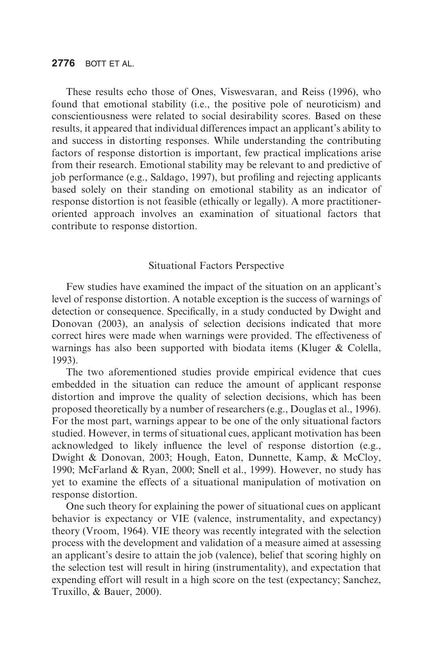These results echo those of Ones, Viswesvaran, and Reiss (1996), who found that emotional stability (i.e., the positive pole of neuroticism) and conscientiousness were related to social desirability scores. Based on these results, it appeared that individual differences impact an applicant's ability to and success in distorting responses. While understanding the contributing factors of response distortion is important, few practical implications arise from their research. Emotional stability may be relevant to and predictive of job performance (e.g., Saldago, 1997), but profiling and rejecting applicants based solely on their standing on emotional stability as an indicator of response distortion is not feasible (ethically or legally). A more practitioneroriented approach involves an examination of situational factors that contribute to response distortion.

#### Situational Factors Perspective

Few studies have examined the impact of the situation on an applicant's level of response distortion. A notable exception is the success of warnings of detection or consequence. Specifically, in a study conducted by Dwight and Donovan (2003), an analysis of selection decisions indicated that more correct hires were made when warnings were provided. The effectiveness of warnings has also been supported with biodata items (Kluger & Colella, 1993).

The two aforementioned studies provide empirical evidence that cues embedded in the situation can reduce the amount of applicant response distortion and improve the quality of selection decisions, which has been proposed theoretically by a number of researchers (e.g., Douglas et al., 1996). For the most part, warnings appear to be one of the only situational factors studied. However, in terms of situational cues, applicant motivation has been acknowledged to likely influence the level of response distortion (e.g., Dwight & Donovan, 2003; Hough, Eaton, Dunnette, Kamp, & McCloy, 1990; McFarland & Ryan, 2000; Snell et al., 1999). However, no study has yet to examine the effects of a situational manipulation of motivation on response distortion.

One such theory for explaining the power of situational cues on applicant behavior is expectancy or VIE (valence, instrumentality, and expectancy) theory (Vroom, 1964). VIE theory was recently integrated with the selection process with the development and validation of a measure aimed at assessing an applicant's desire to attain the job (valence), belief that scoring highly on the selection test will result in hiring (instrumentality), and expectation that expending effort will result in a high score on the test (expectancy; Sanchez, Truxillo, & Bauer, 2000).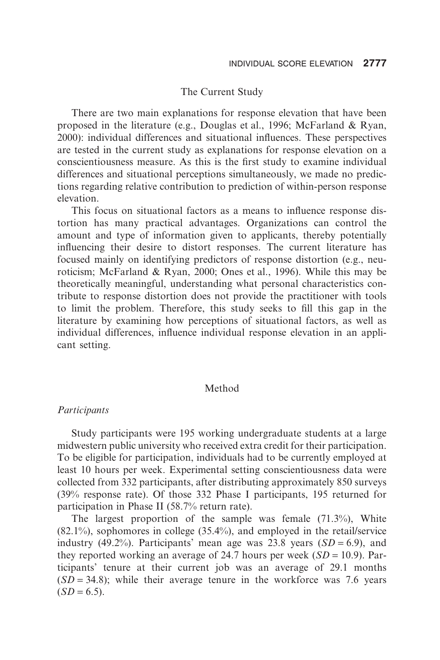#### The Current Study

There are two main explanations for response elevation that have been proposed in the literature (e.g., Douglas et al., 1996; McFarland & Ryan, 2000): individual differences and situational influences. These perspectives are tested in the current study as explanations for response elevation on a conscientiousness measure. As this is the first study to examine individual differences and situational perceptions simultaneously, we made no predictions regarding relative contribution to prediction of within-person response elevation.

This focus on situational factors as a means to influence response distortion has many practical advantages. Organizations can control the amount and type of information given to applicants, thereby potentially influencing their desire to distort responses. The current literature has focused mainly on identifying predictors of response distortion (e.g., neuroticism; McFarland & Ryan, 2000; Ones et al., 1996). While this may be theoretically meaningful, understanding what personal characteristics contribute to response distortion does not provide the practitioner with tools to limit the problem. Therefore, this study seeks to fill this gap in the literature by examining how perceptions of situational factors, as well as individual differences, influence individual response elevation in an applicant setting.

#### Method

#### *Participants*

Study participants were 195 working undergraduate students at a large midwestern public university who received extra credit for their participation. To be eligible for participation, individuals had to be currently employed at least 10 hours per week. Experimental setting conscientiousness data were collected from 332 participants, after distributing approximately 850 surveys (39% response rate). Of those 332 Phase I participants, 195 returned for participation in Phase II (58.7% return rate).

The largest proportion of the sample was female (71.3%), White (82.1%), sophomores in college (35.4%), and employed in the retail/service industry (49.2%). Participants' mean age was 23.8 years  $(SD = 6.9)$ , and they reported working an average of 24.7 hours per week  $(SD = 10.9)$ . Participants' tenure at their current job was an average of 29.1 months  $(SD = 34.8)$ ; while their average tenure in the workforce was 7.6 years  $(SD = 6.5)$ .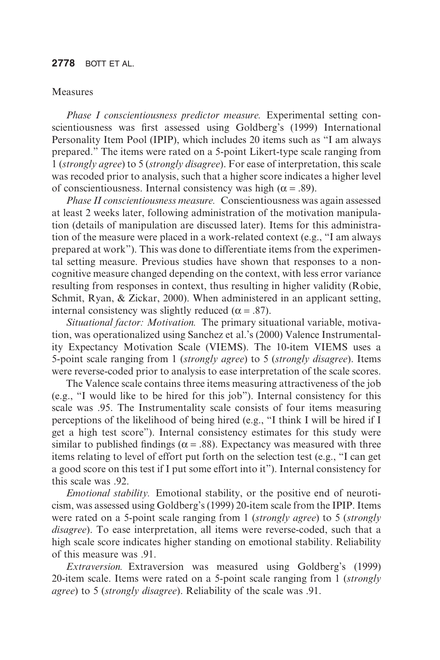#### Measures

*Phase I conscientiousness predictor measure.* Experimental setting conscientiousness was first assessed using Goldberg's (1999) International Personality Item Pool (IPIP), which includes 20 items such as "I am always prepared." The items were rated on a 5-point Likert-type scale ranging from 1 (*strongly agree*) to 5 (*strongly disagree*). For ease of interpretation, this scale was recoded prior to analysis, such that a higher score indicates a higher level of conscientiousness. Internal consistency was high ( $\alpha = .89$ ).

*Phase II conscientiousness measure.* Conscientiousness was again assessed at least 2 weeks later, following administration of the motivation manipulation (details of manipulation are discussed later). Items for this administration of the measure were placed in a work-related context (e.g., "I am always prepared at work"). This was done to differentiate items from the experimental setting measure. Previous studies have shown that responses to a noncognitive measure changed depending on the context, with less error variance resulting from responses in context, thus resulting in higher validity (Robie, Schmit, Ryan, & Zickar, 2000). When administered in an applicant setting, internal consistency was slightly reduced ( $\alpha = .87$ ).

*Situational factor: Motivation.* The primary situational variable, motivation, was operationalized using Sanchez et al.'s (2000) Valence Instrumentality Expectancy Motivation Scale (VIEMS). The 10-item VIEMS uses a 5-point scale ranging from 1 (*strongly agree*) to 5 (*strongly disagree*). Items were reverse-coded prior to analysis to ease interpretation of the scale scores.

The Valence scale contains three items measuring attractiveness of the job (e.g., "I would like to be hired for this job"). Internal consistency for this scale was .95. The Instrumentality scale consists of four items measuring perceptions of the likelihood of being hired (e.g., "I think I will be hired if I get a high test score"). Internal consistency estimates for this study were similar to published findings ( $\alpha = .88$ ). Expectancy was measured with three items relating to level of effort put forth on the selection test (e.g., "I can get a good score on this test if I put some effort into it"). Internal consistency for this scale was .92.

*Emotional stability.* Emotional stability, or the positive end of neuroticism, was assessed using Goldberg's (1999) 20-item scale from the IPIP. Items were rated on a 5-point scale ranging from 1 (*strongly agree*) to 5 (*strongly disagree*). To ease interpretation, all items were reverse-coded, such that a high scale score indicates higher standing on emotional stability. Reliability of this measure was .91.

*Extraversion.* Extraversion was measured using Goldberg's (1999) 20-item scale. Items were rated on a 5-point scale ranging from 1 (*strongly agree*) to 5 (*strongly disagree*). Reliability of the scale was .91.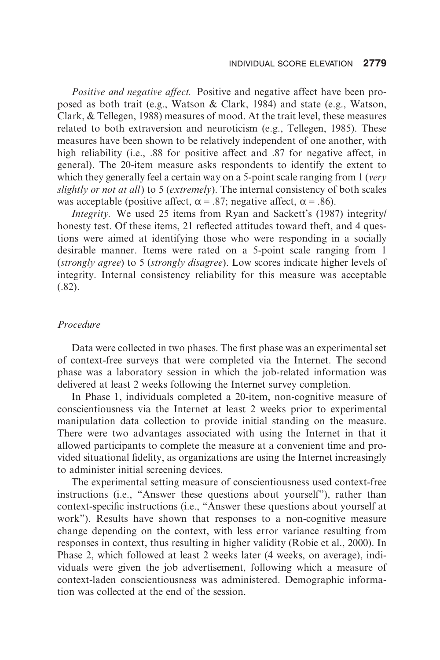*Positive and negative affect.* Positive and negative affect have been proposed as both trait (e.g., Watson & Clark, 1984) and state (e.g., Watson, Clark, & Tellegen, 1988) measures of mood. At the trait level, these measures related to both extraversion and neuroticism (e.g., Tellegen, 1985). These measures have been shown to be relatively independent of one another, with high reliability (i.e., .88 for positive affect and .87 for negative affect, in general). The 20-item measure asks respondents to identify the extent to which they generally feel a certain way on a 5-point scale ranging from 1 (*very slightly or not at all*) to 5 (*extremely*). The internal consistency of both scales was acceptable (positive affect,  $\alpha = .87$ ; negative affect,  $\alpha = .86$ ).

*Integrity.* We used 25 items from Ryan and Sackett's (1987) integrity/ honesty test. Of these items, 21 reflected attitudes toward theft, and 4 questions were aimed at identifying those who were responding in a socially desirable manner. Items were rated on a 5-point scale ranging from 1 (*strongly agree*) to 5 (*strongly disagree*). Low scores indicate higher levels of integrity. Internal consistency reliability for this measure was acceptable (.82).

#### *Procedure*

Data were collected in two phases. The first phase was an experimental set of context-free surveys that were completed via the Internet. The second phase was a laboratory session in which the job-related information was delivered at least 2 weeks following the Internet survey completion.

In Phase 1, individuals completed a 20-item, non-cognitive measure of conscientiousness via the Internet at least 2 weeks prior to experimental manipulation data collection to provide initial standing on the measure. There were two advantages associated with using the Internet in that it allowed participants to complete the measure at a convenient time and provided situational fidelity, as organizations are using the Internet increasingly to administer initial screening devices.

The experimental setting measure of conscientiousness used context-free instructions (i.e., "Answer these questions about yourself"), rather than context-specific instructions (i.e., "Answer these questions about yourself at work"). Results have shown that responses to a non-cognitive measure change depending on the context, with less error variance resulting from responses in context, thus resulting in higher validity (Robie et al., 2000). In Phase 2, which followed at least 2 weeks later (4 weeks, on average), individuals were given the job advertisement, following which a measure of context-laden conscientiousness was administered. Demographic information was collected at the end of the session.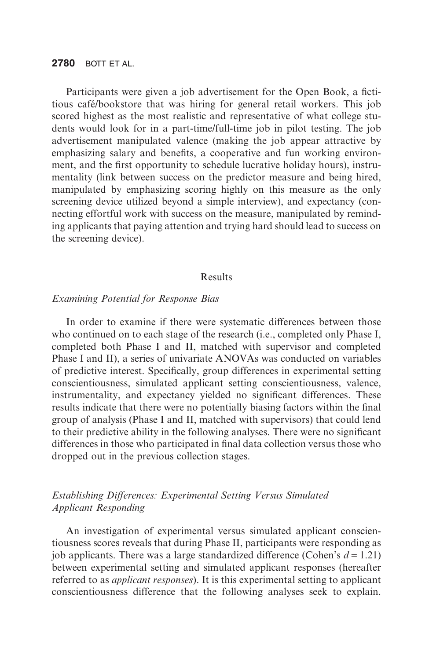Participants were given a job advertisement for the Open Book, a fictitious café/bookstore that was hiring for general retail workers. This job scored highest as the most realistic and representative of what college students would look for in a part-time/full-time job in pilot testing. The job advertisement manipulated valence (making the job appear attractive by emphasizing salary and benefits, a cooperative and fun working environment, and the first opportunity to schedule lucrative holiday hours), instrumentality (link between success on the predictor measure and being hired, manipulated by emphasizing scoring highly on this measure as the only screening device utilized beyond a simple interview), and expectancy (connecting effortful work with success on the measure, manipulated by reminding applicants that paying attention and trying hard should lead to success on the screening device).

#### Results

# *Examining Potential for Response Bias*

In order to examine if there were systematic differences between those who continued on to each stage of the research (i.e., completed only Phase I, completed both Phase I and II, matched with supervisor and completed Phase I and II), a series of univariate ANOVAs was conducted on variables of predictive interest. Specifically, group differences in experimental setting conscientiousness, simulated applicant setting conscientiousness, valence, instrumentality, and expectancy yielded no significant differences. These results indicate that there were no potentially biasing factors within the final group of analysis (Phase I and II, matched with supervisors) that could lend to their predictive ability in the following analyses. There were no significant differences in those who participated in final data collection versus those who dropped out in the previous collection stages.

# *Establishing Differences: Experimental Setting Versus Simulated Applicant Responding*

An investigation of experimental versus simulated applicant conscientiousness scores reveals that during Phase II, participants were responding as job applicants. There was a large standardized difference (Cohen's  $d = 1.21$ ) between experimental setting and simulated applicant responses (hereafter referred to as *applicant responses*). It is this experimental setting to applicant conscientiousness difference that the following analyses seek to explain.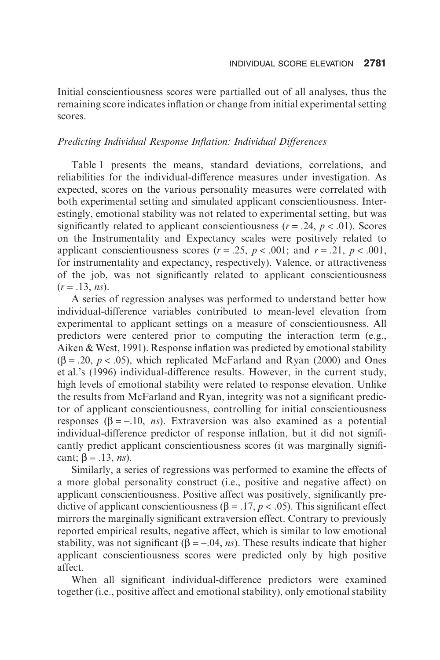Initial conscientiousness scores were partialled out of all analyses, thus the remaining score indicates inflation or change from initial experimental setting scores.

# *Predicting Individual Response Inflation: Individual Differences*

Table 1 presents the means, standard deviations, correlations, and reliabilities for the individual-difference measures under investigation. As expected, scores on the various personality measures were correlated with both experimental setting and simulated applicant conscientiousness. Interestingly, emotional stability was not related to experimental setting, but was significantly related to applicant conscientiousness  $(r = .24, p < .01)$ . Scores on the Instrumentality and Expectancy scales were positively related to applicant conscientiousness scores  $(r = .25, p < .001;$  and  $r = .21, p < .001$ , for instrumentality and expectancy, respectively). Valence, or attractiveness of the job, was not significantly related to applicant conscientiousness  $(r = .13, ns)$ .

A series of regression analyses was performed to understand better how individual-difference variables contributed to mean-level elevation from experimental to applicant settings on a measure of conscientiousness. All predictors were centered prior to computing the interaction term (e.g., Aiken & West, 1991). Response inflation was predicted by emotional stability  $(\beta = .20, p < .05)$ , which replicated McFarland and Ryan (2000) and Ones et al.'s (1996) individual-difference results. However, in the current study, high levels of emotional stability were related to response elevation. Unlike the results from McFarland and Ryan, integrity was not a significant predictor of applicant conscientiousness, controlling for initial conscientiousness responses  $(\beta = -10, \text{ ns})$ . Extraversion was also examined as a potential individual-difference predictor of response inflation, but it did not significantly predict applicant conscientiousness scores (it was marginally significant;  $\beta = .13$ , *ns*).

Similarly, a series of regressions was performed to examine the effects of a more global personality construct (i.e., positive and negative affect) on applicant conscientiousness. Positive affect was positively, significantly predictive of applicant conscientiousness ( $\beta = .17$ ,  $p < .05$ ). This significant effect mirrors the marginally significant extraversion effect. Contrary to previously reported empirical results, negative affect, which is similar to low emotional stability, was not significant ( $\beta = -.04$ , *ns*). These results indicate that higher applicant conscientiousness scores were predicted only by high positive affect.

When all significant individual-difference predictors were examined together (i.e., positive affect and emotional stability), only emotional stability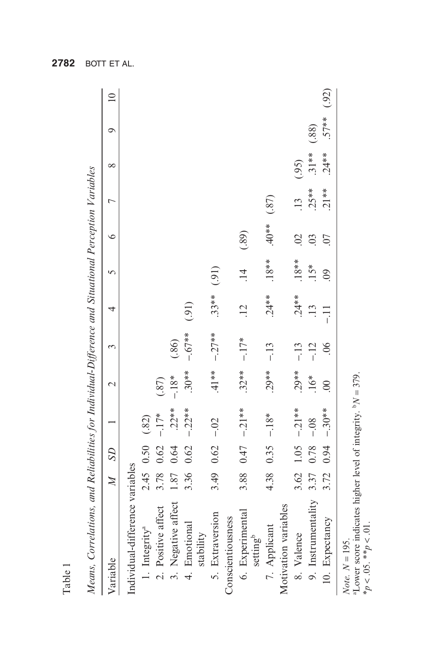| Means, Correlations, and Reliabilities for Individual-Difference and Situational Perception Variables |      |           |                    |               |                 |                 |           |                          |                |               |        |                 |
|-------------------------------------------------------------------------------------------------------|------|-----------|--------------------|---------------|-----------------|-----------------|-----------|--------------------------|----------------|---------------|--------|-----------------|
| Variable                                                                                              |      | N SD      |                    | $\mathcal{C}$ | 3               | 4               |           | $\circ$                  |                | ∞             | ᡋ      | $\overline{10}$ |
| Individual-difference variables                                                                       |      |           |                    |               |                 |                 |           |                          |                |               |        |                 |
| 1. Integrity <sup>a</sup>                                                                             |      | 2.45 0.50 | (.82)              |               |                 |                 |           |                          |                |               |        |                 |
| 2. Positive affect                                                                                    | 3.78 | 0.62      | $-17*$             | (.87)         |                 |                 |           |                          |                |               |        |                 |
| 3. Negative affect                                                                                    | 1.87 | 0.64      | $.22**$            | $-.18*$       | (.86)           |                 |           |                          |                |               |        |                 |
| 4. Emotional                                                                                          | 3.36 | 0.62      | $-.22**$           | $.30**$       | $-.67**$        | (0.91)          |           |                          |                |               |        |                 |
| stability                                                                                             |      |           |                    |               |                 |                 |           |                          |                |               |        |                 |
| 5. Extraversion                                                                                       | 3.49 | 0.62      | $-.02$             | $.41**$       | $-.27**$        | $.33**$ (.91)   |           |                          |                |               |        |                 |
| Conscientiousness                                                                                     |      |           |                    |               |                 |                 |           |                          |                |               |        |                 |
| 6. Experimental                                                                                       |      |           | 3.88 $0.47 - 21**$ | $.32***$      | $-17*$          | $\overline{12}$ | $\vec{=}$ | (.89)                    |                |               |        |                 |
| setting <sup>b</sup>                                                                                  |      |           |                    |               |                 |                 |           |                          |                |               |        |                 |
| 7. Applicant                                                                                          |      | 4.38 0.35 | $-.18*$            | $.29***$      | $-13$           | $.24**$         | $.18***$  | $(.87)$ ** 0.87)         |                |               |        |                 |
| Motivation variables                                                                                  |      |           |                    |               |                 |                 |           |                          |                |               |        |                 |
| 8. Valence                                                                                            | 3.62 | 1.05      | $-.21**$           | $.29**$       | $-13$           | $.24**$         | $.18**$   | $\overline{\mathcal{S}}$ | $\frac{13}{2}$ | (.95)         |        |                 |
| 9. Instrumentality                                                                                    | 3.37 | 0.78      | $-0.08$            | $16*$         | $-.12$          | .13             | $15*$     | $\mathbb{S}^1$           | $.25***$       | $.31**$ (.88) |        |                 |
| 10. Expectancy                                                                                        | 3.72 | 0.94      | $-.30**$           |               | $\widetilde{6}$ |                 | $\otimes$ | 07                       | $.21**$        | $.24**$       | $57**$ | (.92)           |
| Note $N = 195$ .                                                                                      |      |           |                    |               |                 |                 |           |                          |                |               |        |                 |

 $\ddot{\phantom{0}}$  $\frac{c}{1}$ and and the season of the season of the season of the season of the season of the season of the season of the<br>Season of the season of the season of the season of the season of the season of the season of the season of th J,  $\ddot{\phantom{a}}$  $\ddot{\cdot}$  $\ddot{\phantom{0}}$  $\cdots$  $\ddot{\cdot}$  $_{lat}$  $\tilde{\zeta}$ 

Table 1

*Note. N* = 195.

*Note.*  $N = 195$ .<br><sup>a</sup> Lower score indicates higher level of integrity. <sup>b</sup> $N = 379$ .<br>\* $p < .05$ . \*\* $p < .01$ . <sup>a</sup>Lower score indicates higher level of integrity.  $\frac{b}{N} = 379$ .  $*_{p}$  < .05.  $*_{p}$  < .01.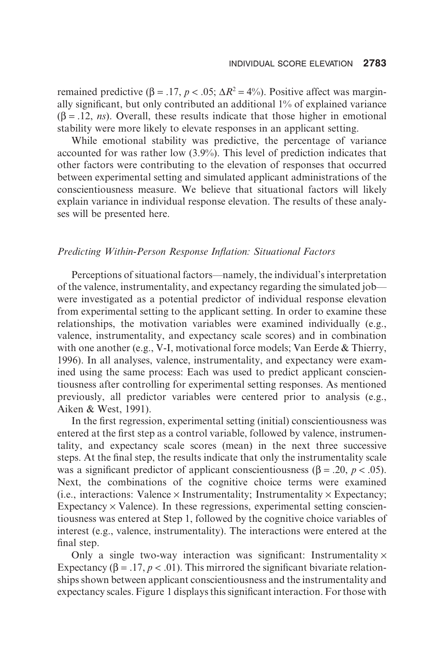remained predictive ( $\beta = .17$ ,  $p < .05$ ;  $\Delta R^2 = 4\%$ ). Positive affect was marginally significant, but only contributed an additional 1% of explained variance  $(\beta = .12, ns)$ . Overall, these results indicate that those higher in emotional stability were more likely to elevate responses in an applicant setting.

While emotional stability was predictive, the percentage of variance accounted for was rather low (3.9%). This level of prediction indicates that other factors were contributing to the elevation of responses that occurred between experimental setting and simulated applicant administrations of the conscientiousness measure. We believe that situational factors will likely explain variance in individual response elevation. The results of these analyses will be presented here.

#### *Predicting Within-Person Response Inflation: Situational Factors*

Perceptions of situational factors—namely, the individual's interpretation of the valence, instrumentality, and expectancy regarding the simulated job were investigated as a potential predictor of individual response elevation from experimental setting to the applicant setting. In order to examine these relationships, the motivation variables were examined individually (e.g., valence, instrumentality, and expectancy scale scores) and in combination with one another (e.g., V-I, motivational force models; Van Eerde & Thierry, 1996). In all analyses, valence, instrumentality, and expectancy were examined using the same process: Each was used to predict applicant conscientiousness after controlling for experimental setting responses. As mentioned previously, all predictor variables were centered prior to analysis (e.g., Aiken & West, 1991).

In the first regression, experimental setting (initial) conscientiousness was entered at the first step as a control variable, followed by valence, instrumentality, and expectancy scale scores (mean) in the next three successive steps. At the final step, the results indicate that only the instrumentality scale was a significant predictor of applicant conscientiousness ( $\beta$  = .20, *p* < .05). Next, the combinations of the cognitive choice terms were examined (i.e., interactions: Valence  $\times$  Instrumentality; Instrumentality  $\times$  Expectancy; Expectancy  $\times$  Valence). In these regressions, experimental setting conscientiousness was entered at Step 1, followed by the cognitive choice variables of interest (e.g., valence, instrumentality). The interactions were entered at the final step.

Only a single two-way interaction was significant: Instrumentality  $\times$ Expectancy  $(\beta = .17, p < .01)$ . This mirrored the significant bivariate relationships shown between applicant conscientiousness and the instrumentality and expectancy scales. Figure 1 displays this significant interaction. For those with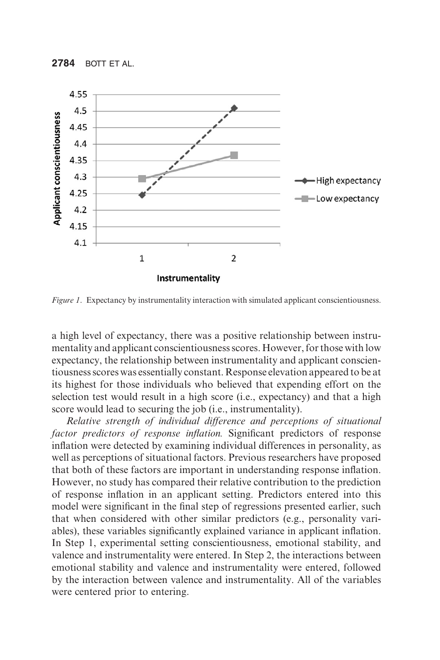

*Figure 1*. Expectancy by instrumentality interaction with simulated applicant conscientiousness.

a high level of expectancy, there was a positive relationship between instrumentality and applicant conscientiousness scores. However, for those with low expectancy, the relationship between instrumentality and applicant conscientiousness scores was essentially constant. Response elevation appeared to be at its highest for those individuals who believed that expending effort on the selection test would result in a high score (i.e., expectancy) and that a high score would lead to securing the job (i.e., instrumentality).

*Relative strength of individual difference and perceptions of situational factor predictors of response inflation.* Significant predictors of response inflation were detected by examining individual differences in personality, as well as perceptions of situational factors. Previous researchers have proposed that both of these factors are important in understanding response inflation. However, no study has compared their relative contribution to the prediction of response inflation in an applicant setting. Predictors entered into this model were significant in the final step of regressions presented earlier, such that when considered with other similar predictors (e.g., personality variables), these variables significantly explained variance in applicant inflation. In Step 1, experimental setting conscientiousness, emotional stability, and valence and instrumentality were entered. In Step 2, the interactions between emotional stability and valence and instrumentality were entered, followed by the interaction between valence and instrumentality. All of the variables were centered prior to entering.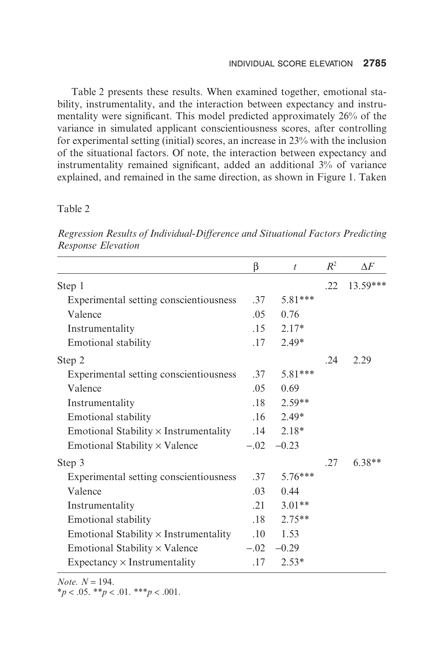Table 2 presents these results. When examined together, emotional stability, instrumentality, and the interaction between expectancy and instrumentality were significant. This model predicted approximately 26% of the variance in simulated applicant conscientiousness scores, after controlling for experimental setting (initial) scores, an increase in 23% with the inclusion of the situational factors. Of note, the interaction between expectancy and instrumentality remained significant, added an additional 3% of variance explained, and remained in the same direction, as shown in Figure 1. Taken

# Table 2

*Regression Results of Individual-Difference and Situational Factors Predicting Response Elevation*

|                                              | β       | $\bar{t}$ | $R^2$ | $\Delta F$ |
|----------------------------------------------|---------|-----------|-------|------------|
| Step 1                                       |         |           | .22   | 13.59***   |
| Experimental setting conscientiousness       | .37     | 5.81***   |       |            |
| Valence                                      | .05     | 0.76      |       |            |
| Instrumentality                              | $.15 -$ | $2.17*$   |       |            |
| Emotional stability                          | .17     | $2.49*$   |       |            |
| Step 2                                       |         |           | .24   | 2.29       |
| Experimental setting conscientiousness       | .37     | 5.81***   |       |            |
| Valence                                      | .05     | 0.69      |       |            |
| Instrumentality                              | .18     | $2.59**$  |       |            |
| Emotional stability                          | .16     | $2.49*$   |       |            |
| Emotional Stability $\times$ Instrumentality | .14     | $2.18*$   |       |            |
| Emotional Stability $\times$ Valence         | $-.02$  | $-0.23$   |       |            |
| Step 3                                       |         |           | .27   | $6.38**$   |
| Experimental setting conscientiousness       | .37     | 5.76***   |       |            |
| Valence                                      | .03     | 0.44      |       |            |
| Instrumentality                              | .21     | $3.01**$  |       |            |
| Emotional stability                          | .18     | $2.75**$  |       |            |
| Emotional Stability $\times$ Instrumentality | .10     | 1.53      |       |            |
| Emotional Stability $\times$ Valence         | $-.02$  | $-0.29$   |       |            |
| $Expectedancy \times Instrumentality$        | .17     | $2.53*$   |       |            |

*Note. N* = 194.

\**p* < .05. \*\**p* < .01. \*\*\**p* < .001.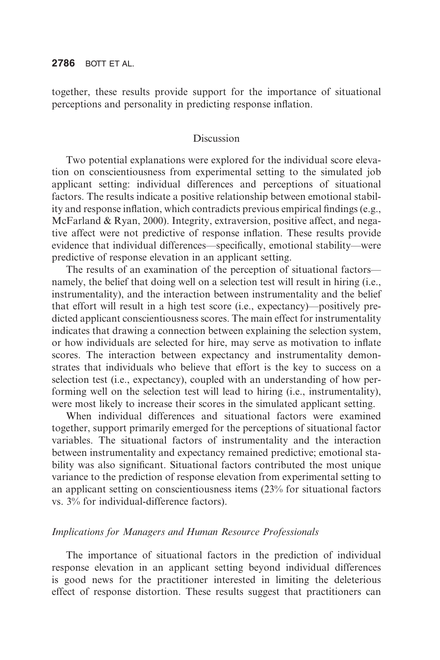together, these results provide support for the importance of situational perceptions and personality in predicting response inflation.

#### Discussion

Two potential explanations were explored for the individual score elevation on conscientiousness from experimental setting to the simulated job applicant setting: individual differences and perceptions of situational factors. The results indicate a positive relationship between emotional stability and response inflation, which contradicts previous empirical findings (e.g., McFarland & Ryan, 2000). Integrity, extraversion, positive affect, and negative affect were not predictive of response inflation. These results provide evidence that individual differences—specifically, emotional stability—were predictive of response elevation in an applicant setting.

The results of an examination of the perception of situational factors namely, the belief that doing well on a selection test will result in hiring (i.e., instrumentality), and the interaction between instrumentality and the belief that effort will result in a high test score (i.e., expectancy)—positively predicted applicant conscientiousness scores. The main effect for instrumentality indicates that drawing a connection between explaining the selection system, or how individuals are selected for hire, may serve as motivation to inflate scores. The interaction between expectancy and instrumentality demonstrates that individuals who believe that effort is the key to success on a selection test (i.e., expectancy), coupled with an understanding of how performing well on the selection test will lead to hiring (i.e., instrumentality), were most likely to increase their scores in the simulated applicant setting.

When individual differences and situational factors were examined together, support primarily emerged for the perceptions of situational factor variables. The situational factors of instrumentality and the interaction between instrumentality and expectancy remained predictive; emotional stability was also significant. Situational factors contributed the most unique variance to the prediction of response elevation from experimental setting to an applicant setting on conscientiousness items (23% for situational factors vs. 3% for individual-difference factors).

## *Implications for Managers and Human Resource Professionals*

The importance of situational factors in the prediction of individual response elevation in an applicant setting beyond individual differences is good news for the practitioner interested in limiting the deleterious effect of response distortion. These results suggest that practitioners can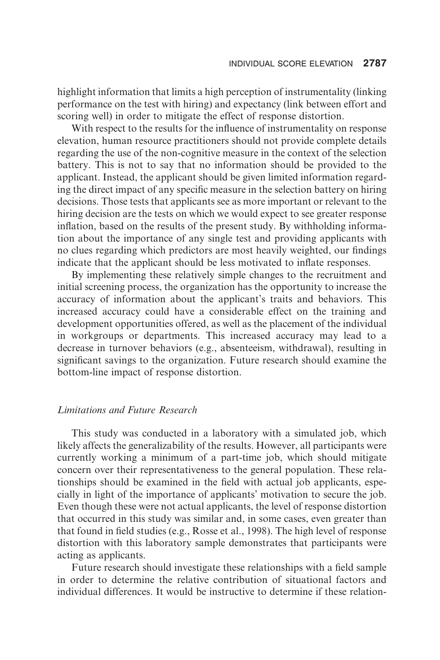highlight information that limits a high perception of instrumentality (linking performance on the test with hiring) and expectancy (link between effort and scoring well) in order to mitigate the effect of response distortion.

With respect to the results for the influence of instrumentality on response elevation, human resource practitioners should not provide complete details regarding the use of the non-cognitive measure in the context of the selection battery. This is not to say that no information should be provided to the applicant. Instead, the applicant should be given limited information regarding the direct impact of any specific measure in the selection battery on hiring decisions. Those tests that applicants see as more important or relevant to the hiring decision are the tests on which we would expect to see greater response inflation, based on the results of the present study. By withholding information about the importance of any single test and providing applicants with no clues regarding which predictors are most heavily weighted, our findings indicate that the applicant should be less motivated to inflate responses.

By implementing these relatively simple changes to the recruitment and initial screening process, the organization has the opportunity to increase the accuracy of information about the applicant's traits and behaviors. This increased accuracy could have a considerable effect on the training and development opportunities offered, as well as the placement of the individual in workgroups or departments. This increased accuracy may lead to a decrease in turnover behaviors (e.g., absenteeism, withdrawal), resulting in significant savings to the organization. Future research should examine the bottom-line impact of response distortion.

# *Limitations and Future Research*

This study was conducted in a laboratory with a simulated job, which likely affects the generalizability of the results. However, all participants were currently working a minimum of a part-time job, which should mitigate concern over their representativeness to the general population. These relationships should be examined in the field with actual job applicants, especially in light of the importance of applicants' motivation to secure the job. Even though these were not actual applicants, the level of response distortion that occurred in this study was similar and, in some cases, even greater than that found in field studies (e.g., Rosse et al., 1998). The high level of response distortion with this laboratory sample demonstrates that participants were acting as applicants.

Future research should investigate these relationships with a field sample in order to determine the relative contribution of situational factors and individual differences. It would be instructive to determine if these relation-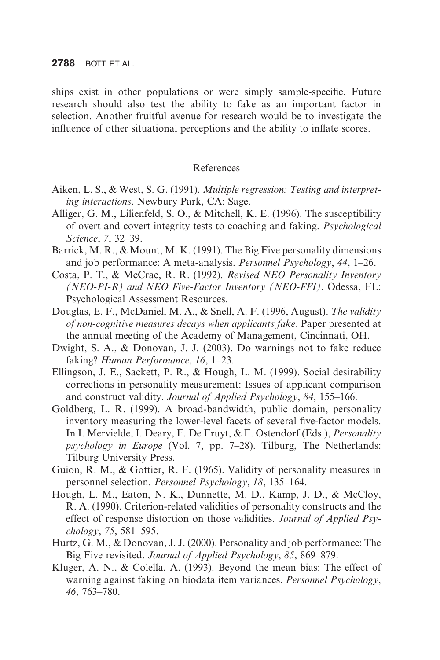ships exist in other populations or were simply sample-specific. Future research should also test the ability to fake as an important factor in selection. Another fruitful avenue for research would be to investigate the influence of other situational perceptions and the ability to inflate scores.

# References

- Aiken, L. S., & West, S. G. (1991). *Multiple regression: Testing and interpreting interactions*. Newbury Park, CA: Sage.
- Alliger, G. M., Lilienfeld, S. O., & Mitchell, K. E. (1996). The susceptibility of overt and covert integrity tests to coaching and faking. *Psychological Science*, *7*, 32–39.
- Barrick, M. R., & Mount, M. K. (1991). The Big Five personality dimensions and job performance: A meta-analysis. *Personnel Psychology*, *44*, 1–26.
- Costa, P. T., & McCrae, R. R. (1992). *Revised NEO Personality Inventory (NEO-PI-R) and NEO Five-Factor Inventory (NEO-FFI)*. Odessa, FL: Psychological Assessment Resources.
- Douglas, E. F., McDaniel, M. A., & Snell, A. F. (1996, August). *The validity of non-cognitive measures decays when applicants fake*. Paper presented at the annual meeting of the Academy of Management, Cincinnati, OH.
- Dwight, S. A., & Donovan, J. J. (2003). Do warnings not to fake reduce faking? *Human Performance*, *16*, 1–23.
- Ellingson, J. E., Sackett, P. R., & Hough, L. M. (1999). Social desirability corrections in personality measurement: Issues of applicant comparison and construct validity. *Journal of Applied Psychology*, *84*, 155–166.
- Goldberg, L. R. (1999). A broad-bandwidth, public domain, personality inventory measuring the lower-level facets of several five-factor models. In I. Mervielde, I. Deary, F. De Fruyt, & F. Ostendorf (Eds.), *Personality psychology in Europe* (Vol. 7, pp. 7–28). Tilburg, The Netherlands: Tilburg University Press.
- Guion, R. M., & Gottier, R. F. (1965). Validity of personality measures in personnel selection. *Personnel Psychology*, *18*, 135–164.
- Hough, L. M., Eaton, N. K., Dunnette, M. D., Kamp, J. D., & McCloy, R. A. (1990). Criterion-related validities of personality constructs and the effect of response distortion on those validities. *Journal of Applied Psychology*, *75*, 581–595.
- Hurtz, G. M., & Donovan, J. J. (2000). Personality and job performance: The Big Five revisited. *Journal of Applied Psychology*, *85*, 869–879.
- Kluger, A. N., & Colella, A. (1993). Beyond the mean bias: The effect of warning against faking on biodata item variances. *Personnel Psychology*, *46*, 763–780.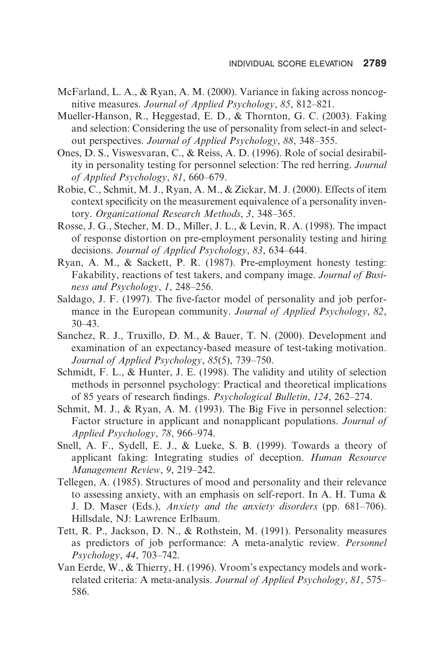- McFarland, L. A., & Ryan, A. M. (2000). Variance in faking across noncognitive measures. *Journal of Applied Psychology*, *85*, 812–821.
- Mueller-Hanson, R., Heggestad, E. D., & Thornton, G. C. (2003). Faking and selection: Considering the use of personality from select-in and selectout perspectives. *Journal of Applied Psychology*, *88*, 348–355.
- Ones, D. S., Viswesvaran, C., & Reiss, A. D. (1996). Role of social desirability in personality testing for personnel selection: The red herring. *Journal of Applied Psychology*, *81*, 660–679.
- Robie, C., Schmit, M. J., Ryan, A. M., & Zickar, M. J. (2000). Effects of item context specificity on the measurement equivalence of a personality inventory. *Organizational Research Methods*, *3*, 348–365.
- Rosse, J. G., Stecher, M. D., Miller, J. L., & Levin, R. A. (1998). The impact of response distortion on pre-employment personality testing and hiring decisions. *Journal of Applied Psychology*, *83*, 634–644.
- Ryan, A. M., & Sackett, P. R. (1987). Pre-employment honesty testing: Fakability, reactions of test takers, and company image. *Journal of Business and Psychology*, *1*, 248–256.
- Saldago, J. F. (1997). The five-factor model of personality and job performance in the European community. *Journal of Applied Psychology*, *82*, 30–43.
- Sanchez, R. J., Truxillo, D. M., & Bauer, T. N. (2000). Development and examination of an expectancy-based measure of test-taking motivation. *Journal of Applied Psychology*, *85*(5), 739–750.
- Schmidt, F. L., & Hunter, J. E. (1998). The validity and utility of selection methods in personnel psychology: Practical and theoretical implications of 85 years of research findings. *Psychological Bulletin*, *124*, 262–274.
- Schmit, M. J., & Ryan, A. M. (1993). The Big Five in personnel selection: Factor structure in applicant and nonapplicant populations. *Journal of Applied Psychology*, *78*, 966–974.
- Snell, A. F., Sydell, E. J., & Lueke, S. B. (1999). Towards a theory of applicant faking: Integrating studies of deception. *Human Resource Management Review*, *9*, 219–242.
- Tellegen, A. (1985). Structures of mood and personality and their relevance to assessing anxiety, with an emphasis on self-report. In A. H. Tuma & J. D. Maser (Eds.), *Anxiety and the anxiety disorders* (pp. 681–706). Hillsdale, NJ: Lawrence Erlbaum.
- Tett, R. P., Jackson, D. N., & Rothstein, M. (1991). Personality measures as predictors of job performance: A meta-analytic review. *Personnel Psychology*, *44*, 703–742.
- Van Eerde, W., & Thierry, H. (1996). Vroom's expectancy models and workrelated criteria: A meta-analysis. *Journal of Applied Psychology*, *81*, 575– 586.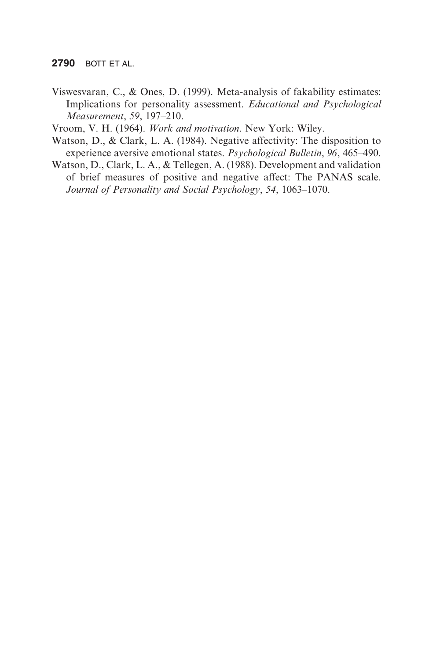Viswesvaran, C., & Ones, D. (1999). Meta-analysis of fakability estimates: Implications for personality assessment. *Educational and Psychological Measurement*, *59*, 197–210.

Vroom, V. H. (1964). *Work and motivation*. New York: Wiley.

- Watson, D., & Clark, L. A. (1984). Negative affectivity: The disposition to experience aversive emotional states. *Psychological Bulletin*, *96*, 465–490.
- Watson, D., Clark, L. A., & Tellegen, A. (1988). Development and validation of brief measures of positive and negative affect: The PANAS scale. *Journal of Personality and Social Psychology*, *54*, 1063–1070.